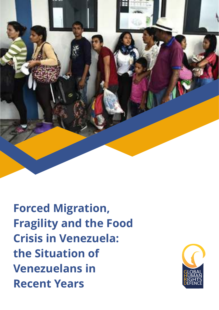

**Forced Migration, Fragility and the Food Crisis in Venezuela: the Situation of Venezuelans in Recent Years**

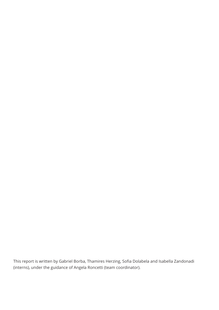This report is written by Gabriel Borba, Thamires Herzing, Sofia Dolabela and Isabella Zandonadi (interns), under the guidance of Angela Roncetti (team coordinator).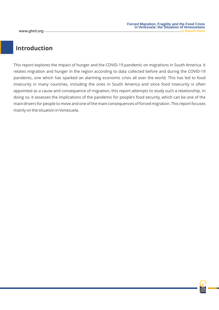## **Introduction**

This report explores the impact of hunger and the COVID-19 pandemic on migrations in South America. It relates migration and hunger in the region according to data collected before and during the COVID-19 pandemic, one which has sparked an alarming economic crisis all over the world. This has led to food insecurity in many countries, including the ones in South America and since food insecurity is often appointed as a cause and consequence of migration, this report attempts to study such a relationship. In doing so, it assesses the implications of the pandemic for people's food security, which can be one of the main drivers for people to move and one of the main consequences of forced migration. This report focuses mainly on the situation in Venezuela.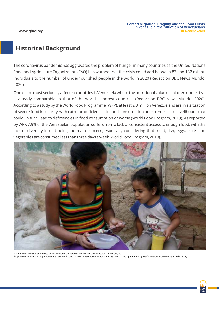## **Historical Background**

The coronavirus pandemic has aggravated the problem of hunger in many countries as the United Nations Food and Agriculture Organization (FAO) has warned that the crisis could add between 83 and 132 million individuals to the number of undernourished people in the world in 2020 (Redacción BBC News Mundo, 2020).

One of the most seriously affected countries is Venezuela where the nutritional value of children under five is already comparable to that of the world's poorest countries (Redacción BBC News Mundo, 2020). According to a study by the World Food Programme (WFP), at least 2.3 million Venezuelans are in a situation of severe food insecurity, with extreme deficiencies in food consumption or extreme loss of livelihoods that could, in turn, lead to deficiencies in food consumption or worse (World Food Program, 2019). As reported by WFP, 7.9% of the Venezuelan population suffers from a lack of consistent access to enough food, with the lack of diversity in diet being the main concern, especially considering that meat, fish, eggs, fruits and vegetables are consumed less than three days a week (World Food Program, 2019).



Picture: Most Venezuelan families do not consume the calories and protein they need. GETTY IMAGES, 2021 (https://www.em.com.br/app/noticia/internacional/bbc/2020/07/17/interna\_internacional,1167831/coronavirus-pandemia-agrava-fome-e-desespero-na-venezuela.shtml).

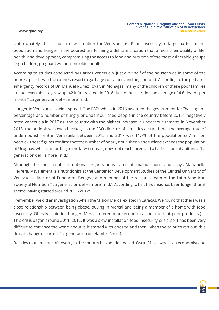Unfortunately, this is not a new situation for Venezuelans. Food insecurity in large parts of the population and hunger in the poorest are forming a delicate situation that affects their quality of life, health, and development, compromising the access to food and nutrition of the most vulnerable groups (e.g. children, pregnant women and older adults).

According to studies conducted by Cáritas Venezuela, just over half of the households in some of the poorest parishes in the country resort to garbage containers and beg for food. According to the pediatric emergency records of Dr. Manuel Núñez Tovar, in Monagas, many of the children of these poor families are not even able to grow up: 42 infants died in 2018 due to malnutrition, an average of 4.6 deaths per month ("La generación del Hambre", n.d.).

Hunger in Venezuela is wide-spread. The FAO, which in 2013 awarded the government for "halving the percentage and number of hungry or undernourished people in the country before 2015", negatively rated Venezuela in 2017 as the country with the highest increase in undernourishment. In November 2018, the outlook was even bleaker, as the FAO director of statistics assured that the average rate of undernourishment in Venezuela between 2015 and 2017 was 11.7% of the population (3.7 million people). These figures confirm that the number of poorly nourished Venezuelans exceeds the population of Uruguay, which, according to the latest census, does not reach three and a half million inhabitants ("La generación del Hambre", n.d.).

Although the concern of international organizations is recent, malnutrition is not, says Marianella Herrera. Ms. Herrera is a nutritionist at the Center for Development Studies of the Central University of Venezuela, director of Fundacion Bengoa, and member of the research team of the Latin American Society of Nutrition ("La generación del Hambre", n.d.). According to her, this crisis has been longer than it seems, having started around 2011/2012:

I remember we did an investigation when the Mision Mercal existed in Caracas. We found that there was a close relationship between being obese, buying in Mercal and being a member of a home with food insecurity. Obesity is hidden hunger. Mercal offered more economical, but nutrient-poor products (…) This crisis began around 2011, 2012. It was a slow-installation food insecurity crisis, so it has been very difficult to convince the world about it. It started with obesity, and then, when the calories ran out, this drastic change occurred ("La generación del Hambre", n.d.).

Besides that, the rate of poverty in the country has not decreased. Oscar Meza, who is an economist and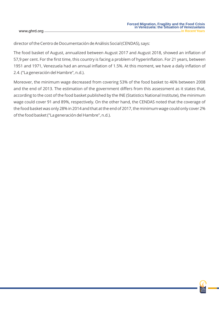director of the Centro de Documentación de Análisis Social (CENDAS), says:

The food basket of August, annualized between August 2017 and August 2018, showed an inflation of 57,9 per cent. For the first time, this country is facing a problem of hyperinflation. For 21 years, between 1951 and 1971, Venezuela had an annual inflation of 1.5%. At this moment, we have a daily inflation of 2.4. ("La generación del Hambre", n.d.).

Moreover, the minimum wage decreased from covering 53% of the food basket to 46% between 2008 and the end of 2013. The estimation of the government differs from this assessment as it states that, according to the cost of the food basket published by the INE (Statistics National Institute), the minimum wage could cover 91 and 89%, respectively. On the other hand, the CENDAS noted that the coverage of the food basket was only 28% in 2014 and that at the end of 2017, the minimum wage could only cover 2% of the food basket ("La generación del Hambre", n.d.).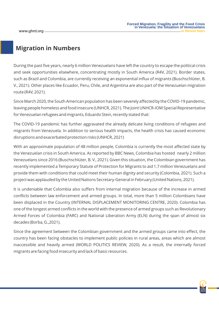## **Migration in Numbers**

During the past five years, nearly 6 million Venezuelans have left the country to escape the political crisis and seek opportunities elsewhere, concentrating mostly in South America (R4V, 2021). Border states, such as Brazil and Colombia, are currently receiving an exponential influx of migrants (Buschschlüter, B. V., 2021). Other places like Ecuador, Peru, Chile, and Argentina are also part of the Venezuelan migration route (R4V, 2021).

Since March 2020, the South American population has been severely affected by the COVID-19 pandemic, leaving people homeless and food insecure (UNHCR, 2021). The Joint UNHCR-IOM Special Representative for Venezuelan refugees and migrants, Eduardo Stein, recently stated that:

The COVID-19 pandemic has further aggravated the already delicate living conditions of refugees and migrants from Venezuela. In addition to serious health impacts, the health crisis has caused economic disruptions and exacerbated protection risks (UNHCR, 2021)

With an approximate population of 48 million people, Colombia is currently the most affected state by the Venezuelan crisis in South America. As reported by BBC News, Colombia has hosted nearly 2 million Venezuelans since 2016 (Buschschlüter, B. V., 2021). Given this situation, the Colombian government has recently implemented a Temporary Statute of Protection for Migrants to aid 1.7 million Venezuelans and provide them with conditions that could meet their human dignity and security (Colombia, 2021). Such a project was applauded by the United Nations Secretary-General in February (United Nations, 2021).

It is undeniable that Colombia also suffers from internal migration because of the increase in armed conflicts between law enforcement and armed groups. In total, more than 5 million Colombians have been displaced in the Country (INTERNAL DISPLACEMENT MONITORING CENTRE, 2020). Colombia has one of the longest armed conflicts in the world with the presence of armed groups such as Revolutionary Armed Forces of Colombia (FARC) and National Liberation Army (ELN) during the span of almost six decades (Borba, G.,2021).

Since the agreement between the Colombian government and the armed groups came into effect, the country has been facing obstacles to implement public policies in rural areas, areas which are almost inaccessible and heavily armed (WORLD POLITICS REVIEW, 2020). As a result, the internally forced migrants are facing food insecurity and lack of basic resources.

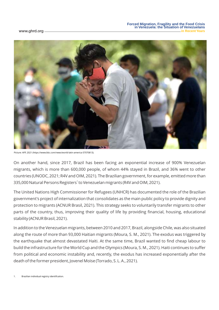

Picture: AFP, 2021 (https://www.bbc.com/news/world-latin-america-57070813).

On another hand, since 2017, Brazil has been facing an exponential increase of 900% Venezuelan migrants, which is more than 600,000 people, of whom 44% stayed in Brazil, and 36% went to other countries (UNODC, 2021; R4V and OIM, 2021). The Brazilian government, for example, emitted more than 335,000 Natural Persons Registers<sup>1</sup> to Venezuelan migrants (R4V and OIM, 2021).

The United Nations High Commissioner for Refugees (UNHCR) has documented the role of the Brazilian government's project of internalization that consolidates as the main public policy to provide dignity and protection to migrants (ACNUR Brasil, 2021). This strategy seeks to voluntarily transfer migrants to other parts of the country, thus, improving their quality of life by providing financial, housing, educational stability (ACNUR Brasil, 2021).

In addition to the Venezuelan migrants, between 2010 and 2017, Brazil, alongside Chile, was also situated along the route of more than 93,000 Haitian migrants (Moura, S. M., 2021). The exodus was triggered by the earthquake that almost devastated Haiti. At the same time, Brazil wanted to find cheap labour to build the infrastructure for the World Cup and the Olympics (Moura, S. M., 2021). Haiti continues to suffer from political and economic instability and, recently, the exodus has increased exponentially after the death of the former president, Jovenel Moïse (Torrado, S. L. A., 2021).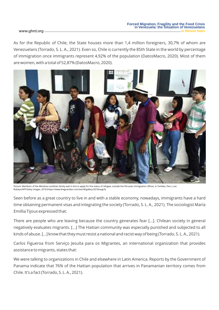As for the Republic of Chile, the State houses more than 1,4 million foreigners, 30,7% of whom are Venezuelans (Torrado, S. L. A., 2021). Even so, Chile is currently the 85th State in the world by percentage of immigration once immigrants represent 4,92% of the population (DatosMacro, 2020). Most of them are women, with a total of 52,87% (DatosMacro, 2020).



Picture: Members of the Mendoza Landinez family wait in line to apply for the status of refugee, outside the Peruvian immigration offices, in Tumbes, Peru. Luis Robayo/AFP/Getty Images, 2018 (https://www.theguardian.com/world/gallery/2018/aug/3).

Seen before as a great country to live in and with a stable economy, nowadays, immigrants have a hard time obtaining permanent visas and integrating the society (Torrado, S. L. A., 2021). The sociologist María Emillia Tijoux expressed that:

There are people who are leaving because the country generates fear [...]. Chilean society in general negatively evaluates migrants. [...] The Haitian community was especially punished and subjected to all kinds of abuse. [...] know that they must resist a national and racist way of being (Torrado, S. L. A., 2021).

Carlos Figueroa from Serviço Jesuíta para os Migrantes, an international organization that provides assistance to migrants, states that:

We were talking to organizations in Chile and elsewhere in Latin America. Reports by the Government of Panama indicate that 76% of the Haitian population that arrives in Panamanian territory comes from Chile. It's a fact (Torrado, S. L. A., 2021).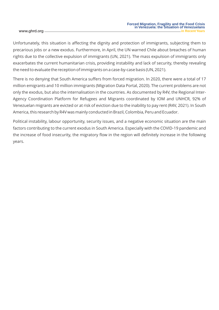Unfortunately, this situation is affecting the dignity and protection of immigrants, subjecting them to precarious jobs or a new exodus. Furthermore, in April, the UN warned Chile about breaches of human rights due to the collective expulsion of immigrants (UN, 2021). The mass expulsion of immigrants only exacerbates the current humanitarian crisis, providing instability and lack of security, thereby revealing the need to evaluate the reception of immigrants on a case-by-case basis (UN, 2021).

There is no denying that South America suffers from forced migration. In 2020, there were a total of 17 million emigrants and 10 million immigrants (Migration Data Portal, 2020). The current problems are not only the exodus, but also the internalisation in the countries. As documented by R4V, the Regional Inter-Agency Coordination Platform for Refugees and Migrants coordinated by IOM and UNHCR, 92% of Venezuelan migrants are evicted or at risk of eviction due to the inability to pay rent (R4V, 2021). In South America, this research by R4V was mainly conducted in Brazil, Colombia, Peru and Ecuador.

Political instability, labour opportunity, security issues, and a negative economic situation are the main factors contributing to the current exodus in South America. Especially with the COVID-19 pandemic and the increase of food insecurity, the migratory flow in the region will definitely increase in the following years.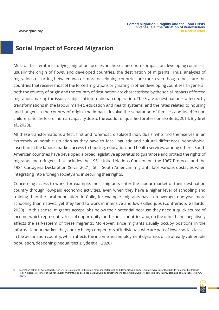### **Social Impact of Forced Migration**

Most of the literature studying migration focuses on the socioeconomic impact on developing countries, usually the origin of flows, and developed countries, the destination of migrants. Thus, analyses of migrations occurring between two or more developing countries are rare, even though these are the countries that receive most of the forced migrations originating in other developing countries. In general, both the country of origin and the country of destination are characterised by the social impacts of forced migration, making the issue a subject of international cooperation. The State of destination is affected by transformations in the labour market, education and health systems, and the rates related to housing and hunger. In the country of origin, the impacts involve the separation of families and its effect on children and the loss of human capacity due to the exodus of qualified professionals (Betts, 2014; Blyde et al., 2020).

All these transformations affect, first and foremost, displaced individuals, who find themselves in an extremely vulnerable situation as they have to face linguistic and cultural differences, xenophobia, insertion in the labour market, access to housing, education, and health services, among others. South American countries have developed a broad legislative apparatus to guarantee and protect the rights of migrants and refugees that includes the 1951 United Nations Convention, the 1967 Protocol, and the 1984 Cartagena Declaration (Silva, 2021). Still, South American migrants face various obstacles when integrating into a foreign society and in securing their rights.

Concerning access to work, for example, most migrants enter the labour market of their destination country through low-paid economic activities, even when they have a higher level of schooling and training than the local population. In Chile, for example, migrants have, on average, one year more schooling than natives, yet they tend to work in intensive and low-skilled jobs (Contreras & Gallardo,  $2020$ <sup>2</sup>. In this sense, migrants accept jobs below their potential because they need a quick source of income, which represents a loss of opportunity for the host countries and, on the other hand, negatively affects the self-esteem of these migrants. Moreover, since migrants usually occupy positions in the informal labour market, they end up being competitors of individuals who are part of lower social classes in the destination country, which affects the income and employment dynamics of an already vulnerable population, deepening inequalities (Blyde et al., 2020).

<sup>2.</sup> More than half of all migrant workers in Chile are employed in the retail, hotel and restaurant, and domestic work sectors (Contreras & Gallardo, 2020). In Roraima, the Brazilian region that receives most of the Venezuelan migrants, displaced populations work as street vendors, construction workers, domestic service providers, and as farm laborers (IPEA, 2021).

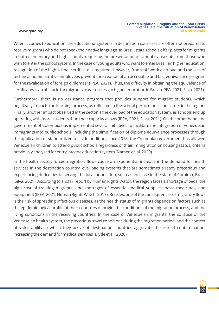When it comes to education, the educational systems in destination countries are often not prepared to receive migrants who do not speak their native language. In Brazil, state schools offer places for migrants in both elementary and high schools, requiring the presentation of school transcripts from those who wish to enter the school system. In the case of young adults who want to enter Brazilian higher education, recognition of the high school certificate is required. However, "the staff work overload and the lack of technical-administrative employees prevent the creation of an accessible and fast equivalence program for the revalidation of foreign diplomas" (IPEA, 2021). Thus, the difficulty in obtaining the equivalence of certificates is an obstacle for migrants to gain access to higher education in Brazil (IPEA, 2021; Silva, 2021).

Furthermore, there is no assistance program that provides support for migrant students, which negatively impacts the learning process, as reflected in the school performance indicators in the region. Finally, another impact observed in the sector is the overload of the education system, as schools end up operating with more students than their capacity allows (IPEA, 2021; Silva, 2021). On the other hand, the government of Colombia has implemented several initiatives to facilitate the integration of Venezuelan immigrants into public schools, including the simplification of diploma equivalence processes through the application of standardized tests. In addition, since 2018, the Colombian government has allowed Venezuelan children to attend public schools regardless of their immigration or housing status, criteria previously analysed for entry into the education system (Namen et. al, 2020)

In the health sector, forced migration flows cause an exponential increase in the demand for health services in the destination country, overloading systems that are sometimes already precarious and experiencing difficulties in serving the local population, such as the case in the state of Roraima, Brazil (Silva, 2021). According to a 2017 report by Human Rights Watch, the region faces a shortage of beds, the high cost of treating migrants, and shortages of essential medical supplies, basic medicines, and equipment (IPEA, 2021; Human Rights Watch, 2017). Besides, one of the consequences of migratory flows is the risk of spreading infectious diseases, as the health status of migrants depends on factors such as the epidemiological profile of their countries of origin, the conditions of the migration process, and the living conditions in the receiving countries. In the case of Venezuelan migrants, the collapse of the Venezuelan health system, the precarious travel conditions during the migration period, and the context of vulnerability in which they arrive at destination countries aggravate the risk of contamination, increasing the demand for medical services (Blyde et al., 2020).

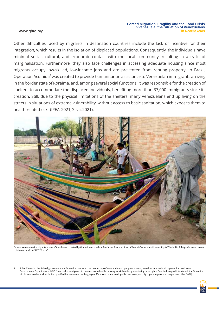Other difficulties faced by migrants in destination countries include the lack of incentive for their integration, which results in the isolation of displaced populations. Consequently, the individuals have minimal social, cultural, and economic contact with the local community, resulting in a cycle of marginalisation. Furthermore, they also face challenges in accessing adequate housing since most migrants occupy low-skilled, low-income jobs and are prevented from renting property. In Brazil, Operation Acolhida<sup>3</sup> was created to provide humanitarian assistance to Venezuelan immigrants arriving in the border state of Roraima, and, among several social functions, it was responsible for the creation of shelters to accommodate the displaced individuals, benefiting more than 37,000 immigrants since its creation. Still, due to the physical limitations of the shelters, many Venezuelans end up living on the streets in situations of extreme vulnerability, without access to basic sanitation, which exposes them to health-related risks (IPEA, 2021; Silva, 2021).



Picture: Venezuelan immigrants in one of the shelters created by Operation Acolhida in Boa Vista, Roraima, Brazil. César Muñoz Acebes/Human Rights Watch, 2017 (https://www.aporrea.o rg/internacionales/n315125.html)

Subordinated to the federal government, the Operation counts on the partnership of state and municipal governments, as well as international organizations and Non-Governmental Organizations (NGOs), and helps immigrants to have access to health, housing, work, besides guaranteeing basic rights. Despite being well-structured, the Operation still faces obstacles such as limited qualified human resources, language differences, bureaucratic public processes, and high operating costs, among others (Silva, 2021).

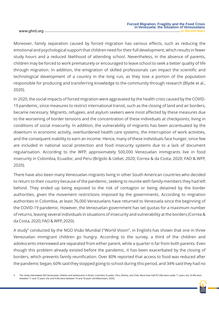Moreover, family separation caused by forced migration has various effects, such as reducing the emotional and psychological support that children need for their full development, which results in fewer study hours and a reduced likelihood of attending school. Nevertheless, in the absence of parents, children may be forced to work prematurely or encouraged to leave school to seek a better quality of life through migration. In addition, the emigration of skilled professionals can impact the scientific and technological development of a country in the long run, as they lose a portion of the population responsible for producing and transferring knowledge to the community through research (Blyde et al., 2020).

In 2020, the social impacts of forced migration were aggravated by the health crisis caused by the COVID-19 pandemic, since measures to restrict international transit, such as the closing of land and air borders, became necessary. Migrants, refugees, and asylum seekers were most affected by these measures due to the worsening of border tensions and the concentration of these individuals at checkpoints, living in conditions of social insecurity. In addition, the vulnerability of migrants has been accentuated by the downturn in economic activity, overburdened health care systems, the interruption of work activities, and the consequent inability to earn an income. Hence, many of these individuals face hunger, since few are included in national social protection and food insecurity systems due to a lack of document regularisation. According to the WFP, approximately 500,000 Venezuelan immigrants live in food insecurity in Colombia, Ecuador, and Peru (Brígido & Uebel, 2020; Correa & da Costa, 2020; FAO & WFP, 2020).

There have also been many Venezuelan migrants living in other South American countries who decided to return to their country because of the pandemic, seeking to reunite with family members they had left behind. They ended up being exposed to the risk of contagion or being detained by the border authorities, given the movement restrictions imposed by the governments. According to migration authorities in Colombia, at least 76,000 Venezuelans have returned to Venezuela since the beginning of the COVID-19 pandemic. However, the Venezuelan government has set quotas for a maximum number of returns, leaving several individuals in situations of insecurity and vulnerability at the borders (Correa & da Costa, 2020; FAO & WFP, 2020).

A study $^4$  conducted by the NGO Visão Mundial ("World Vision", in English) has shown that one in three Venezuelan immigrant children go hungry. According to the survey, a third of the children and adolescents interviewed are separated from either parent, while a quarter is far from both parents. Even though this problem already existed before the pandemic, it has been exacerbated by the closing of borders, which prevents family reunification. Over 80% reported that access to food was reduced after the pandemic began, 60% said they stopped going to school during this period, and 34% said they had no

4. The study interviewed 363 Venezuelan children and adolescents in Brazil, Colombia, Ecuador, Peru, Bolivia, and Chile. More than half (57.6%) were under 11 years old, 32.8% were between 11 and 15 years old, and 9.6% were between 16 and 18 years old (Mantovani, 2020).

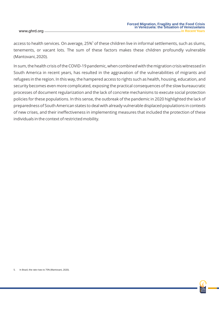access to health services. On average, 25%<sup>5</sup> of these children live in informal settlements, such as slums, tenements, or vacant lots. The sum of these factors makes these children profoundly vulnerable (Mantovani, 2020).

In sum, the health crisis of the COVID-19 pandemic, when combined with the migration crisis witnessed in South America in recent years, has resulted in the aggravation of the vulnerabilities of migrants and refugees in the region. In this way, the hampered access to rights such as health, housing, education, and security becomes even more complicated, exposing the practical consequences of the slow bureaucratic processes of document regularization and the lack of concrete mechanisms to execute social protection policies for these populations. In this sense, the outbreak of the pandemic in 2020 highlighted the lack of preparedness of South American states to deal with already vulnerable displaced populations in contexts of new crises, and their ineffectiveness in implementing measures that included the protection of these individuals in the context of restricted mobility.

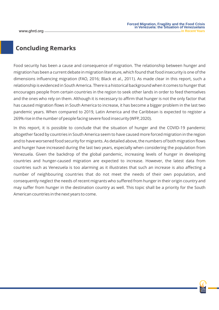## **Concluding Remarks**

Food security has been a cause and consequence of migration. The relationship between hunger and migration has been a current debate in migration literature, which found that food insecurity is one of the dimensions influencing migration (FAO, 2016; Black et al., 2011). As made clear in this report, such a relationship is evidenced in South America. There is a historical background when it comes to hunger that encourages people from certain countries in the region to seek other lands in order to feed themselves and the ones who rely on them. Although it is necessary to affirm that hunger is not the only factor that has caused migration flows in South America to increase, it has become a bigger problem in the last two pandemic years. When compared to 2019, Latin America and the Caribbean is expected to register a 269% rise in the number of people facing severe food insecurity (WFP, 2020).

In this report, it is possible to conclude that the situation of hunger and the COVID-19 pandemic altogether faced by countries in South America seem to have caused more forced migration in the region and to have worsened food security for migrants. As detailed above, the numbers of both migration flows and hunger have increased during the last two years, especially when considering the population from Venezuela. Given the backdrop of the global pandemic, increasing levels of hunger in developing countries and hunger-caused migration are expected to increase. However, the latest data from countries such as Venezuela is too alarming as it illustrates that such an increase is also affecting a number of neighbouring countries that do not meet the needs of their own population, and consequently neglect the needs of recent migrants who suffered from hunger in their origin country and may suffer from hunger in the destination country as well. This topic shall be a priority for the South American countries in the next years to come.

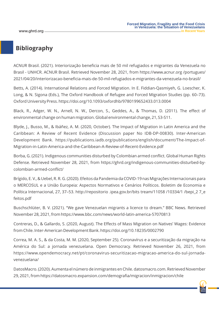# **Bibliography**

ACNUR Brasil. (2021). Interiorização beneficia mais de 50 mil refugiados e migrantes da Venezuela no Brasil - UNHCR. ACNUR Brasil. Retrieved November 28, 2021, from https://www.acnur.org /portugues/ 2021/04/20/interiorizacao-beneficia-mais-de-50-mil-refugiados-e-migrantes-da-venezuela-no-brasil/

Betts, A. (2014). International Relations and Forced Migration. In E. Fiddian-Qasmiyeh, G. Loescher, K. Long, & N. Sigona (Eds.), The Oxford Handbook of Refugee and Forced Migration Studies (pp. 60–73). Oxford University Press. https://doi.org/10.1093/oxfordhb/9780199652433.013.0004

Black, R., Adger, W. N., Arnell, N. W., Dercon, S., Geddes, A., & Thomas, D. (2011). The effect of environmental change on human migration. Global environmental change, 21, S3-S11.

Blyde, J., Busso, M., & Ibáñez, A. M. (2020, October). The Impact of Migration in Latin America and the Caribbean: A Review of Recent Evidence (Discussion paper No IDB-DP-00830). Inter-American Development Bank. https://publications.iadb.org/publications/english/document/The-Impact-of-Migration-in-Latin-America-and-the-Caribbean-A-Review-of-Recent-Evidence.pdf

Borba, G. (2021). Indigenous communities disturbed by Colombian armed conflict. Global Human Rights Defense. Retrieved November 28, 2021, from https://ghrd.org/indigenous-communities-disturbed-bycolombian-armed-conflict/

Brígido, E. V., & Uebel, R. R. G. (2020). Efeitos da Pandemia da COVID-19 nas Migrações Internacionais para o MERCOSUL e a União Europeia: Aspectos Normativos e Cenários Políticos. Boletim de Economia e Política Internacional, 27, 37–53. http://repositorio .ipea.gov.br/bits tream/11058 /10334/1 /bepi\_2 7\_e feitos.pdf

Buschschlüter, B. V. (2021). "We gave Venezuelan migrants a licence to dream." BBC News. Retrieved November 28, 2021, from https://www.bbc.com/news/world-latin-america-57070813

Contreras, D., & Gallardo, S. (2020, August). The Effects of Mass Migration on Natives' Wages: Evidence from Chile. Inter-American Development Bank. https://doi.org/10.18235/0002790

Correa, M. A. S., & da Costa, M. M. (2020, September 25). Coronavírus e a securitização da migração na América do Sul: a jornada venezuelana. Open Democracy. Retrieved November 26, 2021, from https://www.opendemocracy.net/pt/coronavirus-securitizacao-migracao-america-do-sul-jornadavenezuelana/

DatosMacro. (2020). Aumenta el número de inmigrantes en Chile. datosmacro.com. Retrieved November 29, 2021, from https://datosmacro.expansion.com/demografia/migracion/inmigracion/chile

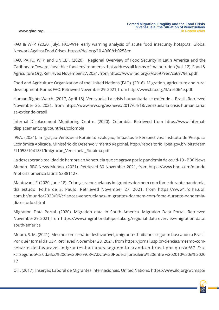FAO & WFP. (2020, July). FAO-WFP early warning analysis of acute food insecurity hotspots. Global Network Against Food Crises. https://doi.org/10.4060/cb0258en

FAO, PAHO, WFP and UNICEF. (2020). Regional Overview of Food Security in Latin America and the Caribbean: Towards healthier food environments that address all forms of malnutrition (Vol. 12). Food & Agriculture Org. Retrieved November 27, 2021, from https://www.fao.org/3/ca6979en/ca6979en.pdf.

Food and Agriculture Organization of the United Nations (FAO). (2016). Migration, agriculture and rural development. Rome: FAO. Retrieved November 29, 2021, from http://www.fao.org/3/a-i6064e.pdf.

Human Rights Watch. (2017, April 18). Venezuela: La crisis humanitaria se extiende a Brasil. Retrieved November 26, 2021, from https://www.hrw.org/es/news/2017/04/18/venezuela-la-crisis-humanitariase-extiende-brasil

Internal Displacement Monitoring Centre. (2020). Colombia. Retrieved from https://www.internaldisplacement.org/countries/colombia

IPEA. (2021). Imigração Venezuela-Roraima: Evolução, Impactos e Perspectivas. Instituto de Pesquisa Econômica Aplicada, Ministério do Desenvolvimento Regional. http://repositorio. ipea.gov.br/ bitstream /11058/10418/1/Imigracao\_Venezuela\_Roraima.pdf

La desesperada realidad de hambre en Venezuela que se agrava por la pandemia de covid-19 - BBC News Mundo. BBC News Mundo. (2021). Retrieved 30 November 2021, from https://www.bbc. com/mundo /noticias-america-latina-53381127.

Mantovani, F. (2020, June 18). Crianças venezuelanas imigrantes dormem com fome durante pandemia, diz estudo. Folha de S. Paulo. Retrieved November 27, 2021, from https://www1.folha.uol. com.br/mundo/2020/06/criancas-venezuelanas-imigrantes-dormem-com-fome-durante-pandemiadiz-estudo.shtml

Migration Data Portal. (2020). Migration data in South America. Migration Data Portal. Retrieved November 29, 2021, from https://www.migrationdataportal.org/regional-data-overview/migration-datasouth-america

Moura, S. M. (2021). Mesmo com cenário desfavorável, imigrantes haitianos seguem buscando o Brasil. Por quê? Jornal da USP. Retrieved November 28, 2021, from https://jornal.usp.br/ciencias/mesmo-comcenario-desfavoravel-imigrantes-haitianos-seguem-buscando-o-brasil-por-que/#:%7 E:te xt=Segundo%2 0dados%20da%20Pol%C3%ADcia%20F ederal,brasileiro%20entre %202010%20e% 2020 17

OIT. (2017). Inserção Laboral de Migrantes Internacionais. United Nations. https://www.ilo.org/wcmsp5/

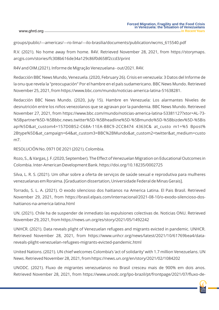groups/public/---americas/---ro-lima/---ilo-brasilia/documents/publication/wcms\_615540.pdf

R.V. (2021). No home away from home. R4V. Retrieved November 28, 2021, from https://storymaps. arcgis.com/stories/fc308b616de34a129c86f0d658f2ccd3/print

R4V and OIM.(2021). Informe de Migração Venezuelana - out/2021. R4V.

Redacción BBC News Mundo, Venezuela. (2020, February 26). Crisis en venezuela: 3 Datos del Informe de la onu que revela la "preocupación" Por el hambre en el país sudamericano. BBC News Mundo. Retrieved November 25, 2021, from https://www.bbc.com/mundo/noticias-america-latina-51638281.

Redacción BBC News Mundo. (2020, July 15). Hambre en Venezuela: Los alarmantes Niveles de desnutrición entre los niños venezolanos que se agravan por la pandemia. BBC News Mundo. Retrieved November 27, 2021, from https://www.bbc.com/mundo/noticias-america-latina-53381127?xtor=AL-73- %5Bpartner%5D-%5Bbbc.news.twitter%5D-%5Bheadline%5D-%5Bmundo%5D-%5Bbizdev%5D-%5Bis api%5D&at\_custom4=157D0B52-C68A-11EA-B8C9-2CC8474 4363C& at\_custo m1=%5 Bpost% 2Btype%5D&at\_campaign=64&at\_custom3=BBC%2BMundo&at\_custom2=twitter&at\_medium=custo m7.

RESOLUCIÓN No. 0971 DE 2021 (2021). Colombia.

Rozo, S., & Vargas, J. F. (2020, September). The Effect of Venezuelan Migration on Educational Outcomes in Colombia. Inter-American Development Bank. https://doi.org/10.18235/0002725

Silva, L. R. S. (2021). Um olhar sobre a oferta de serviços de saúde sexual e reprodutiva para mulheres venezuelanas em Roraima. [Graduation dissertation, Universidade Federal de Minas Gerais].

Torrado, S. L. A. (2021). O exodo silencioso dos haitianos na America Latina. El Pais Brasil. Retrieved November 29, 2021, from https://brasil.elpais.com/internacional/2021-08-10/o-exodo-silencioso-doshaitianos-na-america-latina.html

UN. (2021). Chile ha de suspender de inmediato las expulsiones colectivas de. Noticias ONU. Retrieved November 29, 2021, from https://news.un.org/es/story/2021/05/1492242

UNHCR. (2021). Data reveals plight of Venezuelan refugees and migrants evicted in pandemic. UNHCR. Retrieved November 28, 2021, from https://www.unhcr.org/news/latest/2021/10/61769bea4/datareveals-plight-venezuelan-refugees-migrants-evicted-pandemic.html

United Nations. (2021). UN chief welcomes Colombia's 'act of solidarity' with 1.7 million Venezuelans. UN News. Retrieved November 28, 2021, from https://news.un.org/en/story/2021/02/1084202

UNODC. (2021). Fluxo de migrantes venezuelanos no Brasil cresceu mais de 900% em dois anos. Retrieved November 28, 2021, from https://www.unodc.org/lpo-brazil/pt/frontpage/2021/07/fluxo-de-

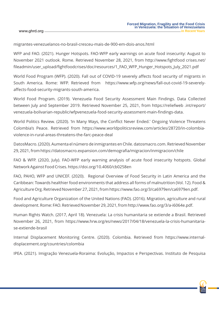migrantes-venezuelanos-no-brasil-cresceu-mais-de-900-em-dois-anos.html

WFP and FAO. (2021). Hunger Hotspots. FAO-WFP early warnings on acute food insecurity: August to November 2021 outlook. Rome. Retrieved November 28, 2021, from http://www.fightfood crises.net/ fileadmin/user\_upload/fightfoodcrises/doc/resources/1\_FAO\_WFP\_Hunger\_Hotspots\_July\_2021.pdf

World Food Program (WFP). (2020). Fall out of COVID-19 severely affects food security of migrants in South America. Rome: WFP. Retrieved from https://www.wfp.org/news/fall-out-covid-19-severelyaffects-food-security-migrants-south-america.

World Food Program. (2019). Venezuela Food Security Assessment Main Findings. Data Collected between July and September 2019. Retrieved November 25, 2021, from https://reliefweb .int/report/ venezuela-bolivarian-republic/wfpvenezuela-food-security-assessment-main-findings-data.

World Politics Review. (2020). 'In Many Ways, the Conflict Never Ended.' Ongoing Violence Threatens Colombia's Peace. Retrieved from https://www.worldpoliticsreview.com/articles/28720/in-colombiaviolence-in-rural-areas-threatens-the-farc-peace-deal

DatosMacro. (2020). Aumenta el número de inmigrantes en Chile. datosmacro.com. Retrieved November 29, 2021, from https://datosmacro.expansion.com/demografia/migracion/inmigracion/chile

FAO & WFP. (2020, July). FAO-WFP early warning analysis of acute food insecurity hotspots. Global Network Against Food Crises. https://doi.org/10.4060/cb0258en

FAO, PAHO, WFP and UNICEF. (2020). Regional Overview of Food Security in Latin America and the Caribbean: Towards healthier food environments that address all forms of malnutrition (Vol. 12). Food & Agriculture Org. Retrieved November 27, 2021, from https://www.fao.org/3/ca6979en/ca6979en.pdf.

Food and Agriculture Organization of the United Nations (FAO). (2016). Migration, agriculture and rural development. Rome: FAO. Retrieved November 29, 2021, from http://www.fao.org/3/a-i6064e.pdf.

Human Rights Watch. (2017, April 18). Venezuela: La crisis humanitaria se extiende a Brasil. Retrieved November 26, 2021, from https://www.hrw.org/es/news/2017/04/18/venezuela-la-crisis-humanitariase-extiende-brasil

Internal Displacement Monitoring Centre. (2020). Colombia. Retrieved from https://www.internaldisplacement.org/countries/colombia

IPEA. (2021). Imigração Venezuela-Roraima: Evolução, Impactos e Perspectivas. Instituto de Pesquisa

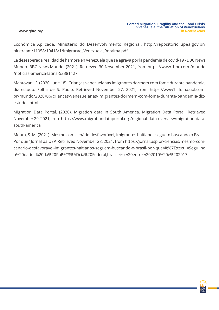Econômica Aplicada, Ministério do Desenvolvimento Regional. http://repositorio .ipea.gov.br/ bitstream/11058/10418/1/Imigracao\_Venezuela\_Roraima.pdf

La desesperada realidad de hambre en Venezuela que se agrava por la pandemia de covid-19 - BBC News Mundo. BBC News Mundo. (2021). Retrieved 30 November 2021, from https://www. bbc.com /mundo /noticias-america-latina-53381127.

Mantovani, F. (2020, June 18). Crianças venezuelanas imigrantes dormem com fome durante pandemia, diz estudo. Folha de S. Paulo. Retrieved November 27, 2021, from https://www1. folha.uol.com. br/mundo/2020/06/criancas-venezuelanas-imigrantes-dormem-com-fome-durante-pandemia-dizestudo.shtml

Migration Data Portal. (2020). Migration data in South America. Migration Data Portal. Retrieved November 29, 2021, from https://www.migrationdataportal.org/regional-data-overview/migration-datasouth-america

Moura, S. M. (2021). Mesmo com cenário desfavorável, imigrantes haitianos seguem buscando o Brasil. Por quê? Jornal da USP. Retrieved November 28, 2021, from https://jornal.usp.br/ciencias/mesmo-comcenario-desfavoravel-imigrantes-haitianos-seguem-buscando-o-brasil-por-que/#:%7E:text =Segu nd o%20dados%20da%20Pol%C3%ADcia%20Federal,brasileiro%20entre%202010%20e%202017